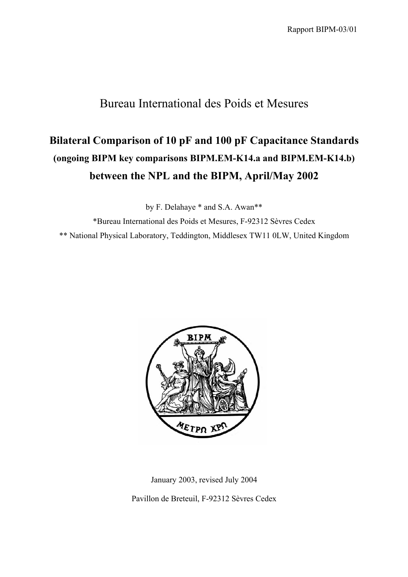## Bureau International des Poids et Mesures

# **Bilateral Comparison of 10 pF and 100 pF Capacitance Standards (ongoing BIPM key comparisons BIPM.EM-K14.a and BIPM.EM-K14.b) between the NPL and the BIPM, April/May 2002**

by F. Delahaye \* and S.A. Awan\*\*

\*Bureau International des Poids et Mesures, F-92312 Sèvres Cedex \*\* National Physical Laboratory, Teddington, Middlesex TW11 0LW, United Kingdom



January 2003, revised July 2004

Pavillon de Breteuil, F-92312 Sèvres Cedex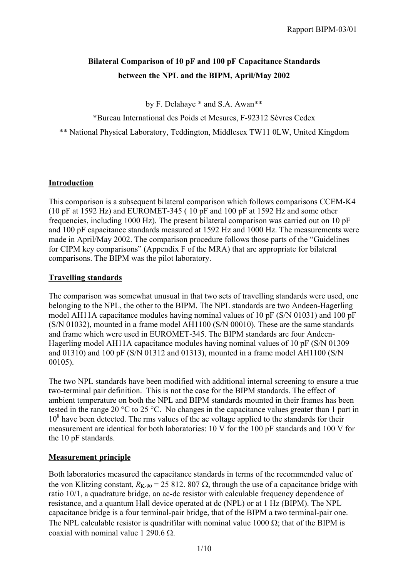### **Bilateral Comparison of 10 pF and 100 pF Capacitance Standards between the NPL and the BIPM, April/May 2002**

by F. Delahaye \* and S.A. Awan\*\*

\*Bureau International des Poids et Mesures, F-92312 Sèvres Cedex

\*\* National Physical Laboratory, Teddington, Middlesex TW11 0LW, United Kingdom

#### **Introduction**

This comparison is a subsequent bilateral comparison which follows comparisons CCEM-K4 (10 pF at 1592 Hz) and EUROMET-345 ( 10 pF and 100 pF at 1592 Hz and some other frequencies, including 1000 Hz). The present bilateral comparison was carried out on 10 pF and 100 pF capacitance standards measured at 1592 Hz and 1000 Hz. The measurements were made in April/May 2002. The comparison procedure follows those parts of the "Guidelines for CIPM key comparisons" (Appendix F of the MRA) that are appropriate for bilateral comparisons. The BIPM was the pilot laboratory.

#### **Travelling standards**

The comparison was somewhat unusual in that two sets of travelling standards were used, one belonging to the NPL, the other to the BIPM. The NPL standards are two Andeen-Hagerling model AH11A capacitance modules having nominal values of 10 pF (S/N 01031) and 100 pF (S/N 01032), mounted in a frame model AH1100 (S/N 00010). These are the same standards and frame which were used in EUROMET-345. The BIPM standards are four Andeen-Hagerling model AH11A capacitance modules having nominal values of 10 pF (S/N 01309 and 01310) and 100 pF (S/N 01312 and 01313), mounted in a frame model AH1100 (S/N 00105).

The two NPL standards have been modified with additional internal screening to ensure a true two-terminal pair definition. This is not the case for the BIPM standards. The effect of ambient temperature on both the NPL and BIPM standards mounted in their frames has been tested in the range 20 °C to 25 °C. No changes in the capacitance values greater than 1 part in 10<sup>8</sup> have been detected. The rms values of the ac voltage applied to the standards for their measurement are identical for both laboratories: 10 V for the 100 pF standards and 100 V for the 10 pF standards.

#### **Measurement principle**

Both laboratories measured the capacitance standards in terms of the recommended value of the von Klitzing constant,  $R_{K-90} = 25812.807 \Omega$ , through the use of a capacitance bridge with ratio 10/1, a quadrature bridge, an ac-dc resistor with calculable frequency dependence of resistance, and a quantum Hall device operated at dc (NPL) or at 1 Hz (BIPM). The NPL capacitance bridge is a four terminal-pair bridge, that of the BIPM a two terminal-pair one. The NPL calculable resistor is quadrifilar with nominal value 1000  $\Omega$ ; that of the BIPM is coaxial with nominal value 1 290.6  $\Omega$ .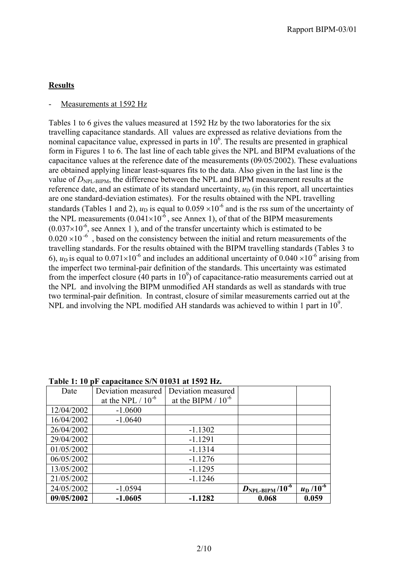#### **Results**

#### Measurements at 1592 Hz

Tables 1 to 6 gives the values measured at 1592 Hz by the two laboratories for the six travelling capacitance standards. All values are expressed as relative deviations from the nominal capacitance value, expressed in parts in  $10<sup>6</sup>$ . The results are presented in graphical form in Figures 1 to 6. The last line of each table gives the NPL and BIPM evaluations of the capacitance values at the reference date of the measurements (09/05/2002). These evaluations are obtained applying linear least-squares fits to the data. Also given in the last line is the value of  $D_{\text{NPL-BIPM}}$ , the difference between the NPL and BIPM measurement results at the reference date, and an estimate of its standard uncertainty,  $u_D$  (in this report, all uncertainties are one standard-deviation estimates). For the results obtained with the NPL travelling standards (Tables 1 and 2),  $u_D$  is equal to 0.059  $\times 10^{-6}$  and is the rss sum of the uncertainty of the NPL measurements  $(0.041 \times 10^{-6})$ , see Annex 1), of that of the BIPM measurements  $(0.037\times10^{-6})$ , see Annex 1), and of the transfer uncertainty which is estimated to be  $0.020 \times 10^{-6}$  , based on the consistency between the initial and return measurements of the travelling standards. For the results obtained with the BIPM travelling standards (Tables 3 to 6),  $u_D$  is equal to  $0.071 \times 10^{-6}$  and includes an additional uncertainty of  $0.040 \times 10^{-6}$  arising from the imperfect two terminal-pair definition of the standards. This uncertainty was estimated from the imperfect closure  $(40 \text{ parts in } 10^9)$  of capacitance-ratio measurements carried out at the NPL and involving the BIPM unmodified AH standards as well as standards with true two terminal-pair definition. In contrast, closure of similar measurements carried out at the NPL and involving the NPL modified AH standards was achieved to within 1 part in  $10^9$ .

| Date       | Deviation measured     | Deviation measured      |                                   |                             |
|------------|------------------------|-------------------------|-----------------------------------|-----------------------------|
|            | at the NPL $/ 10^{-6}$ | at the BIPM $/ 10^{-6}$ |                                   |                             |
| 12/04/2002 | $-1.0600$              |                         |                                   |                             |
| 16/04/2002 | $-1.0640$              |                         |                                   |                             |
| 26/04/2002 |                        | $-1.1302$               |                                   |                             |
| 29/04/2002 |                        | $-1.1291$               |                                   |                             |
| 01/05/2002 |                        | $-1.1314$               |                                   |                             |
| 06/05/2002 |                        | $-1.1276$               |                                   |                             |
| 13/05/2002 |                        | $-1.1295$               |                                   |                             |
| 21/05/2002 |                        | $-1.1246$               |                                   |                             |
| 24/05/2002 | $-1.0594$              |                         | $D_{\rm NPL\text{-}BIPM}/10^{-6}$ | $\frac{u_{\rm D}}{10^{-6}}$ |
| 09/05/2002 | $-1.0605$              | $-1.1282$               | 0.068                             | 0.059                       |

#### **Table 1: 10 pF capacitance S/N 01031 at 1592 Hz.**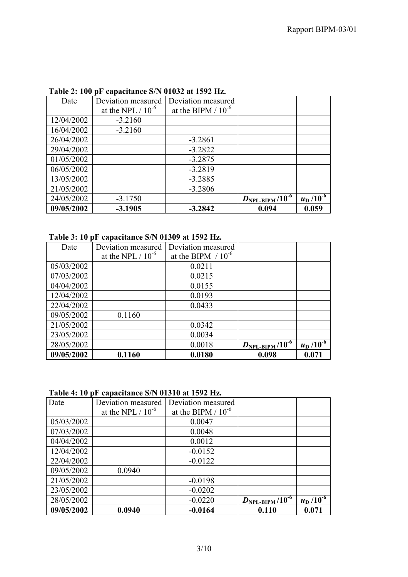| TUNIC 21 TOO | $\mu$ capacitance $\omega_{\mu}$ or $\omega_{\mu}$ at 1972 may |                         |                               |                               |
|--------------|----------------------------------------------------------------|-------------------------|-------------------------------|-------------------------------|
| Date         | Deviation measured                                             | Deviation measured      |                               |                               |
|              | at the NPL $/ 10^{-6}$                                         | at the BIPM $/ 10^{-6}$ |                               |                               |
| 12/04/2002   | $-3.2160$                                                      |                         |                               |                               |
| 16/04/2002   | $-3.2160$                                                      |                         |                               |                               |
| 26/04/2002   |                                                                | $-3.2861$               |                               |                               |
| 29/04/2002   |                                                                | $-3.2822$               |                               |                               |
| 01/05/2002   |                                                                | $-3.2875$               |                               |                               |
| 06/05/2002   |                                                                | $-3.2819$               |                               |                               |
| 13/05/2002   |                                                                | $-3.2885$               |                               |                               |
| 21/05/2002   |                                                                | $-3.2806$               |                               |                               |
| 24/05/2002   | $-3.1750$                                                      |                         | $D_{\text{NPL-BIPM}}/10^{-6}$ | $u_{\rm D}$ /10 <sup>-6</sup> |
| 09/05/2002   | $-3.1905$                                                      | $-3.2842$               | 0.094                         | 0.059                         |

### **Table 2: 100 pF capacitance S/N 01032 at 1592 Hz.**

#### **Table 3: 10 pF capacitance S/N 01309 at 1592 Hz.**

| Date       | Deviation measured     | Deviation measured      |                                      |                               |
|------------|------------------------|-------------------------|--------------------------------------|-------------------------------|
|            | at the NPL $/ 10^{-6}$ | at the BIPM $/ 10^{-6}$ |                                      |                               |
| 05/03/2002 |                        | 0.0211                  |                                      |                               |
| 07/03/2002 |                        | 0.0215                  |                                      |                               |
| 04/04/2002 |                        | 0.0155                  |                                      |                               |
| 12/04/2002 |                        | 0.0193                  |                                      |                               |
| 22/04/2002 |                        | 0.0433                  |                                      |                               |
| 09/05/2002 | 0.1160                 |                         |                                      |                               |
| 21/05/2002 |                        | 0.0342                  |                                      |                               |
| 23/05/2002 |                        | 0.0034                  |                                      |                               |
| 28/05/2002 |                        | 0.0018                  | $D_{\rm NPL-BIPM}$ /10 <sup>-6</sup> | $u_{\rm D}$ /10 <sup>-6</sup> |
| 09/05/2002 | 0.1160                 | 0.0180                  | 0.098                                | 0.071                         |

|  |  | Table 4: 10 pF capacitance S/N 01310 at 1592 Hz. |  |  |
|--|--|--------------------------------------------------|--|--|
|--|--|--------------------------------------------------|--|--|

| Date       | Deviation measured     | Deviation measured      |                                      |                             |
|------------|------------------------|-------------------------|--------------------------------------|-----------------------------|
|            | at the NPL $/ 10^{-6}$ | at the BIPM $/ 10^{-6}$ |                                      |                             |
| 05/03/2002 |                        | 0.0047                  |                                      |                             |
| 07/03/2002 |                        | 0.0048                  |                                      |                             |
| 04/04/2002 |                        | 0.0012                  |                                      |                             |
| 12/04/2002 |                        | $-0.0152$               |                                      |                             |
| 22/04/2002 |                        | $-0.0122$               |                                      |                             |
| 09/05/2002 | 0.0940                 |                         |                                      |                             |
| 21/05/2002 |                        | $-0.0198$               |                                      |                             |
| 23/05/2002 |                        | $-0.0202$               |                                      |                             |
| 28/05/2002 |                        | $-0.0220$               | $D_{\rm NPL-BIPM}$ /10 <sup>-6</sup> | $\frac{u_{\rm D}}{10^{-6}}$ |
| 09/05/2002 | 0.0940                 | $-0.0164$               | 0.110                                | 0.071                       |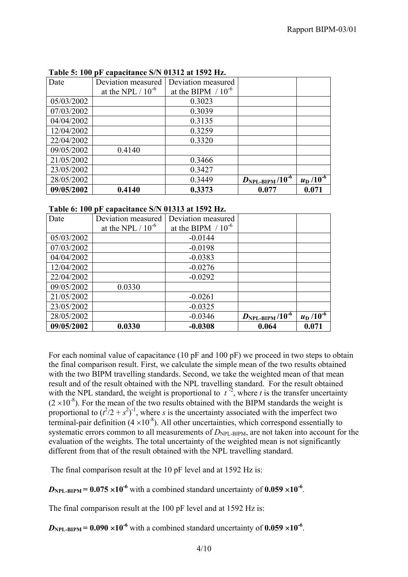| Date       | Deviation measured     | Deviation measured      |                                   |                 |
|------------|------------------------|-------------------------|-----------------------------------|-----------------|
|            | at the NPL $/ 10^{-6}$ | at the BIPM $/ 10^{-6}$ |                                   |                 |
| 05/03/2002 |                        | 0.3023                  |                                   |                 |
| 07/03/2002 |                        | 0.3039                  |                                   |                 |
| 04/04/2002 |                        | 0.3135                  |                                   |                 |
| 12/04/2002 |                        | 0.3259                  |                                   |                 |
| 22/04/2002 |                        | 0.3320                  |                                   |                 |
| 09/05/2002 | 0.4140                 |                         |                                   |                 |
| 21/05/2002 |                        | 0.3466                  |                                   |                 |
| 23/05/2002 |                        | 0.3427                  |                                   |                 |
| 28/05/2002 |                        | 0.3449                  | $D_{\rm NPL\text{-}BIPM}/10^{-6}$ | $u_D / 10^{-6}$ |
| 09/05/2002 | 0.4140                 | 0.3373                  | 0.077                             | 0.071           |

**Table 5: 100 pF capacitance S/N 01312 at 1592 Hz.** 

|  |  | Table 6: 100 pF capacitance S/N 01313 at 1592 Hz. |  |  |
|--|--|---------------------------------------------------|--|--|
|--|--|---------------------------------------------------|--|--|

| Date       | Deviation measured     | Deviation measured      |                                      |                               |
|------------|------------------------|-------------------------|--------------------------------------|-------------------------------|
|            | at the NPL $/ 10^{-6}$ | at the BIPM $/ 10^{-6}$ |                                      |                               |
| 05/03/2002 |                        | $-0.0144$               |                                      |                               |
| 07/03/2002 |                        | $-0.0198$               |                                      |                               |
| 04/04/2002 |                        | $-0.0383$               |                                      |                               |
| 12/04/2002 |                        | $-0.0276$               |                                      |                               |
| 22/04/2002 |                        | $-0.0292$               |                                      |                               |
| 09/05/2002 | 0.0330                 |                         |                                      |                               |
| 21/05/2002 |                        | $-0.0261$               |                                      |                               |
| 23/05/2002 |                        | $-0.0325$               |                                      |                               |
| 28/05/2002 |                        | $-0.0346$               | $D_{\rm NPL-BIPM}$ /10 <sup>-6</sup> | $u_{\rm D}$ /10 <sup>-6</sup> |
| 09/05/2002 | 0.0330                 | $-0.0308$               | 0.064                                | 0.071                         |

For each nominal value of capacitance (10 pF and 100 pF) we proceed in two steps to obtain the final comparison result. First, we calculate the simple mean of the two results obtained with the two BIPM travelling standards. Second, we take the weighted mean of that mean result and of the result obtained with the NPL travelling standard. For the result obtained with the NPL standard, the weight is proportional to  $t^{-2}$ , where *t* is the transfer uncertainty  $(2 \times 10^{-8})$ . For the mean of the two results obtained with the BIPM standards the weight is proportional to  $(t^2/2 + s^2)^{-1}$ , where *s* is the uncertainty associated with the imperfect two terminal-pair definition  $(4 \times 10^{-8})$ . All other uncertainties, which correspond essentially to systematic errors common to all measurements of *D*<sub>NPL-BIPM</sub>, are not taken into account for the evaluation of the weights. The total uncertainty of the weighted mean is not significantly different from that of the result obtained with the NPL travelling standard.

The final comparison result at the 10 pF level and at 1592 Hz is:

 $D_{\text{NPL-RIPM}} = 0.075 \times 10^{-6}$  with a combined standard uncertainty of 0.059  $\times 10^{-6}$ .

The final comparison result at the 100 pF level and at 1592 Hz is:

 $D_{\text{NPL-RIPM}} = 0.090 \times 10^{-6}$  with a combined standard uncertainty of 0.059  $\times 10^{-6}$ .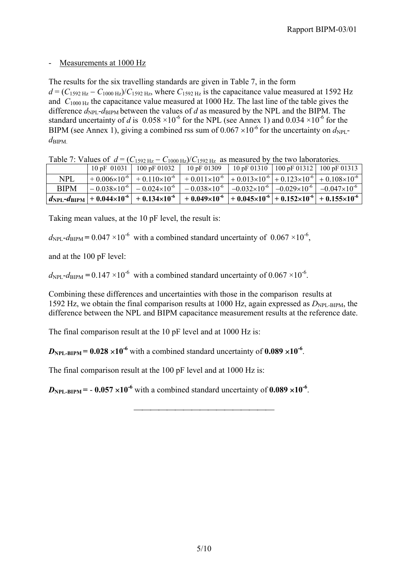#### Measurements at 1000 Hz

The results for the six travelling standards are given in Table 7, in the form

 $d = (C_{1592 \text{ Hz}} - C_{1000 \text{ Hz}})/C_{1592 \text{ Hz}}$ , where  $C_{1592 \text{ Hz}}$  is the capacitance value measured at 1592 Hz and  $C_{1000 \text{ Hz}}$  the capacitance value measured at 1000 Hz. The last line of the table gives the difference  $d_{\text{NPL}}$ - $d_{\text{BIPM}}$  between the values of *d* as measured by the NPL and the BIPM. The standard uncertainty of *d* is  $0.058 \times 10^{-6}$  for the NPL (see Annex 1) and  $0.034 \times 10^{-6}$  for the BIPM (see Annex 1), giving a combined rss sum of  $0.067 \times 10^{-6}$  for the uncertainty on  $d_{\text{NPL}}$  $d_{\rm BIPM}$ 

Table 7: Values of  $d = (C_{1592 \text{ Hz}} - C_{1000 \text{ Hz}})/C_{1592 \text{ Hz}}$  as measured by the two laboratories.

| $1.4010 + 1.101000 + 0.1000$ | $\sigma_{1322\text{ Hz}}$ $\sigma_{1000\text{ Hz}}$ $\sigma_{1322\text{ Hz}}$ as measured by the two moon control of                                                |  |  |
|------------------------------|---------------------------------------------------------------------------------------------------------------------------------------------------------------------|--|--|
|                              | 10 pF 01031   100 pF 01032   10 pF 01309   10 pF 01310   100 pF 01312   100 pF 01313                                                                                |  |  |
| <b>NPL</b>                   | $+0.006\times10^{-6}$ + 0.110×10 <sup>-6</sup> + 0.011×10 <sup>-6</sup> + 0.013×10 <sup>-6</sup> + 0.123×10 <sup>-6</sup> + 0.108×10 <sup>-6</sup>                  |  |  |
| <b>BIPM</b>                  | $\vert -0.038 \times 10^{6} \vert -0.024 \times 10^{6} \vert -0.038 \times 10^{6} \vert -0.032 \times 10^{6} \vert -0.029 \times 10^{6} \vert -0.047 \times 10^{6}$ |  |  |
|                              | $ d_{\text{NPL}}-d_{\text{BIPM}} +0.044\times10^{-6} +0.134\times10^{-6} +0.049\times10^{-6} +0.045\times10^{-6} +0.152\times10^{-6} +0.155\times10^{-6} $          |  |  |

Taking mean values, at the 10 pF level, the result is:

 $d_{\text{NPL}}$ - $d_{\text{BIPM}}$  = 0.047 ×10<sup>-6</sup> with a combined standard uncertainty of 0.067 ×10<sup>-6</sup>,

and at the 100 pF level:

 $d_{\text{NPI}}$ - $d_{\text{RIPM}}$  = 0.147 ×10<sup>-6</sup> with a combined standard uncertainty of 0.067 ×10<sup>-6</sup>.

Combining these differences and uncertainties with those in the comparison results at 1592 Hz, we obtain the final comparison results at 1000 Hz, again expressed as  $D_{\text{NPL-BIPM}}$ , the difference between the NPL and BIPM capacitance measurement results at the reference date.

The final comparison result at the 10 pF level and at 1000 Hz is:

 $D_{\text{NPI-RIPM}} = 0.028 \times 10^{-6}$  with a combined standard uncertainty of 0.089  $\times 10^{-6}$ .

The final comparison result at the 100 pF level and at 1000 Hz is:

 $D_{\text{NPI-RIPM}} = -0.057 \times 10^{-6}$  with a combined standard uncertainty of 0.089  $\times 10^{-6}$ .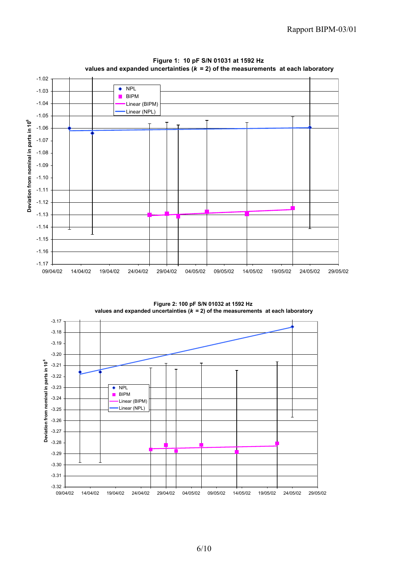

**Figure 1: 10 pF S/N 01031 at 1592 Hz values and expanded uncertainties (***k* **= 2) of the measurements at each laboratory**

**Figure 2: 100 pF S/N 01032 at 1592 Hz values and expanded uncertainties (***k* **= 2) of the measurements at each laboratory**

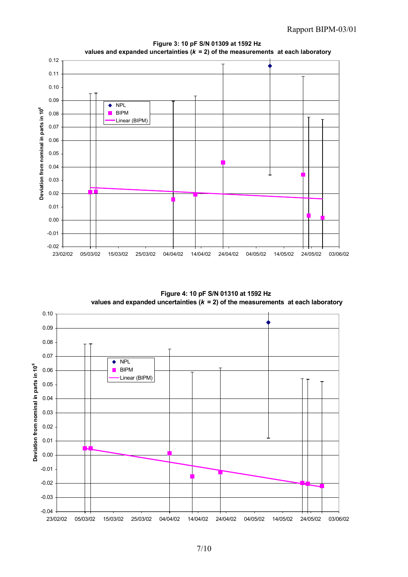

**Figure 3: 10 pF S/N 01309 at 1592 Hz values and expanded uncertainties (***k* **= 2) of the measurements at each laboratory**

**Figure 4: 10 pF S/N 01310 at 1592 Hz values and expanded uncertainties (***k* **= 2) of the measurements at each laboratory**

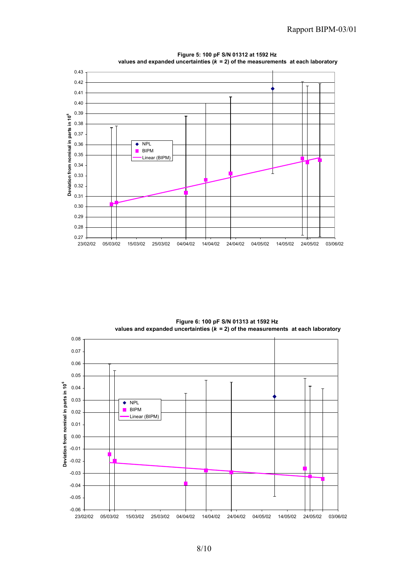

**Figure 5: 100 pF S/N 01312 at 1592 Hz values and expanded uncertainties (***k* **= 2) of the measurements at each laboratory**

**Figure 6: 100 pF S/N 01313 at 1592 Hz values and expanded uncertainties (***k* **= 2) of the measurements at each laboratory**

![](_page_8_Figure_4.jpeg)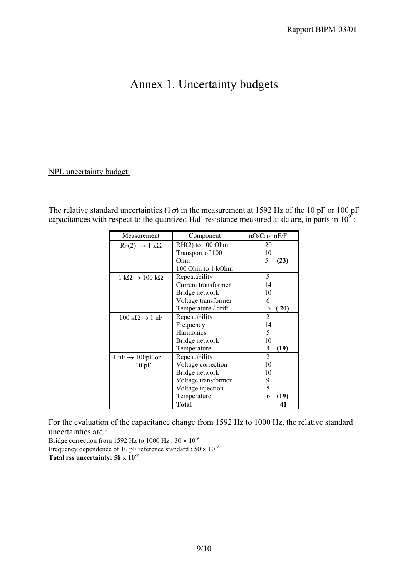## Annex 1. Uncertainty budgets

#### NPL uncertainty budget:

The relative standard uncertainties ( $1\sigma$ ) in the measurement at 1592 Hz of the 10 pF or 100 pF capacitances with respect to the quantized Hall resistance measured at dc are, in parts in  $10^9$ .

| Measurement                                    | Component           | $n\Omega/\Omega$ or nF/F |
|------------------------------------------------|---------------------|--------------------------|
| $R_H(2) \rightarrow 1 k\Omega$                 | $RH(2)$ to 100 Ohm  | 20                       |
|                                                | Transport of 100    | 10                       |
|                                                | Ohm                 | 5<br>(23)                |
|                                                | 100 Ohm to 1 kOhm   |                          |
| $1 k\Omega \rightarrow 100 k\Omega$            | Repeatability       | 5                        |
|                                                | Current transformer | 14                       |
|                                                | Bridge network      | 10                       |
|                                                | Voltage transformer | 6                        |
|                                                | Temperature / drift | 6<br>(20)                |
| $100 \text{ k}\Omega \rightarrow 1 \text{ nF}$ | Repeatability       | $\overline{2}$           |
|                                                | Frequency           | 14                       |
|                                                | <b>Harmonics</b>    | 5                        |
|                                                | Bridge network      | 10                       |
|                                                | Temperature         | 4<br>(19)                |
| $1 \text{ nF} \rightarrow 100 \text{ pF}$ or   | Repeatability       | $\overline{2}$           |
| 10pF                                           | Voltage correction  | 10                       |
|                                                | Bridge network      | 10                       |
|                                                | Voltage transformer | 9                        |
|                                                | Voltage injection   | 5                        |
|                                                | Temperature         | (19)<br>6                |
|                                                | Total               | 41                       |

For the evaluation of the capacitance change from 1592 Hz to 1000 Hz, the relative standard uncertainties are :

Bridge correction from 1592 Hz to 1000 Hz :  $30 \times 10^{-9}$ Frequency dependence of 10 pF reference standard :  $50 \times 10^{-9}$ Total rss uncertainty:  $58 \times 10^{-9}$